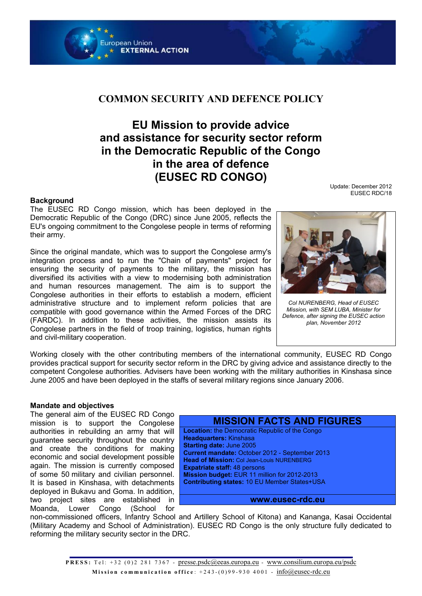

## **COMMON SECURITY AND DEFENCE POLICY**

# **EU Mission to provide advice and assistance for security sector reform in the Democratic Republic of the Congo in the area of defence (EUSEC RD CONGO)**

#### **Background**

The EUSEC RD Congo mission, which has been deployed in the Democratic Republic of the Congo (DRC) since June 2005, reflects the EU's ongoing commitment to the Congolese people in terms of reforming their army.

Since the original mandate, which was to support the Congolese army's integration process and to run the "Chain of payments" project for ensuring the security of payments to the military, the mission has diversified its activities with a view to modernising both administration and human resources management. The aim is to support the Congolese authorities in their efforts to establish a modern, efficient administrative structure and to implement reform policies that are compatible with good governance within the Armed Forces of the DRC (FARDC). In addition to these activities, the mission assists its Congolese partners in the field of troop training, logistics, human rights and civil-military cooperation.

Update: December 2012 EUSEC RDC/18



*Col NURENBERG, Head of EUSEC Mission, with SEM LUBA, Minister for Defence, after signing the EUSEC action plan, November 2012*

Working closely with the other contributing members of the international community, EUSEC RD Congo provides practical support for security sector reform in the DRC by giving advice and assistance directly to the competent Congolese authorities. Advisers have been working with the military authorities in Kinshasa since June 2005 and have been deployed in the staffs of several military regions since January 2006.

#### **Mandate and objectives**

The general aim of the EUSEC RD Congo mission is to support the Congolese authorities in rebuilding an army that will guarantee security throughout the country and create the conditions for making economic and social development possible again. The mission is currently composed of some 50 military and civilian personnel. It is based in Kinshasa, with detachments deployed in Bukavu and Goma. In addition, two project sites are established in Moanda, Lower Congo (School for



**www.eusec-rdc.eu**

non-commissioned officers, Infantry School and Artillery School of Kitona) and Kananga, Kasai Occidental (Military Academy and School of Administration). EUSEC RD Congo is the only structure fully dedicated to reforming the military security sector in the DRC.